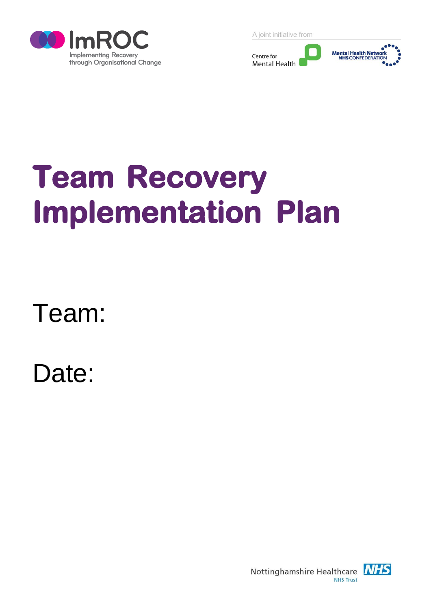

A joint initiative from



# **Team Recovery Implementation Plan**

Team:

Date:

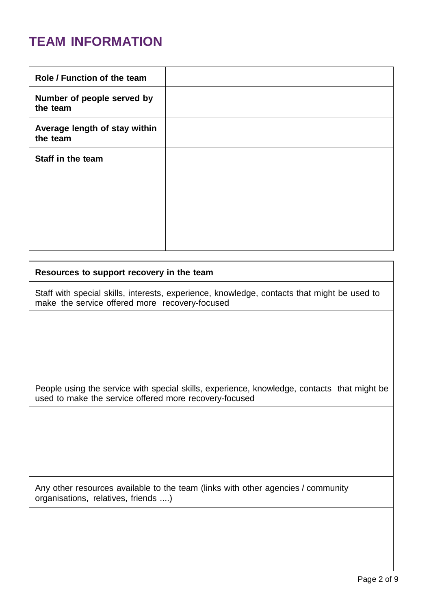#### **TEAM INFORMATION**

#### **Resources to support recovery in the team**

Staff with special skills, interests, experience, knowledge, contacts that might be used to make the service offered more recovery-focused

People using the service with special skills, experience, knowledge, contacts that might be used to make the service offered more recovery-focused

Any other resources available to the team (links with other agencies / community organisations, relatives, friends ....)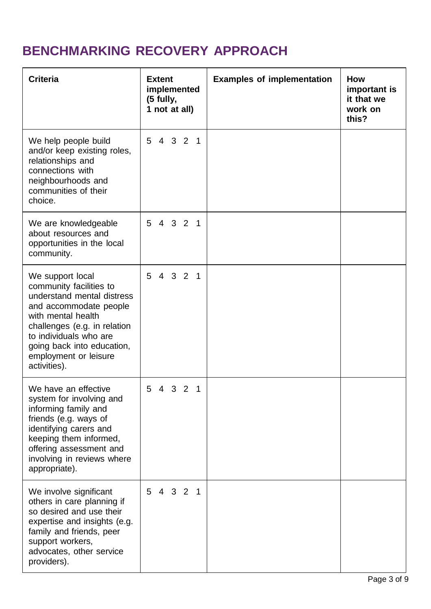# **BENCHMARKING RECOVERY APPROACH**

| <b>Criteria</b>                                                                                                                                                                                                                                            | <b>Extent</b><br>implemented<br>(5 fully,<br>1 not at all) | <b>Examples of implementation</b> | <b>How</b><br>important is<br>it that we<br>work on<br>this? |
|------------------------------------------------------------------------------------------------------------------------------------------------------------------------------------------------------------------------------------------------------------|------------------------------------------------------------|-----------------------------------|--------------------------------------------------------------|
| We help people build<br>and/or keep existing roles,<br>relationships and<br>connections with<br>neighbourhoods and<br>communities of their<br>choice.                                                                                                      | 4 3 2 1<br>5                                               |                                   |                                                              |
| We are knowledgeable<br>about resources and<br>opportunities in the local<br>community.                                                                                                                                                                    | 4 3 2 1<br>5                                               |                                   |                                                              |
| We support local<br>community facilities to<br>understand mental distress<br>and accommodate people<br>with mental health<br>challenges (e.g. in relation<br>to individuals who are<br>going back into education,<br>employment or leisure<br>activities). | 5 4 3 2 1                                                  |                                   |                                                              |
| We have an effective<br>system for involving and<br>informing family and<br>friends (e.g. ways of<br>identifying carers and<br>keeping them informed,<br>offering assessment and<br>involving in reviews where<br>appropriate).                            | 5<br>4 3 2 1                                               |                                   |                                                              |
| We involve significant<br>others in care planning if<br>so desired and use their<br>expertise and insights (e.g.<br>family and friends, peer<br>support workers,<br>advocates, other service<br>providers).                                                | 5<br>4 3 2 1                                               |                                   |                                                              |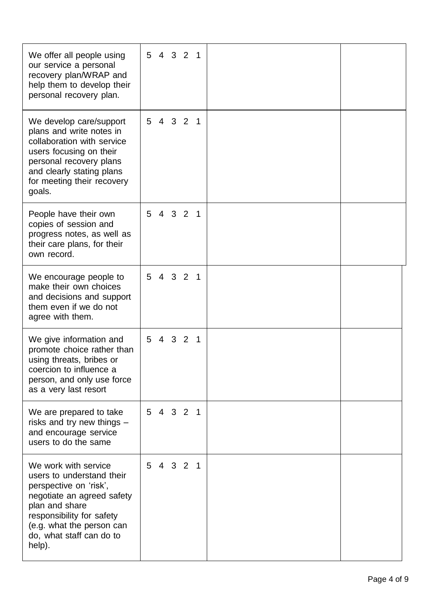| We offer all people using<br>our service a personal<br>recovery plan/WRAP and<br>help them to develop their<br>personal recovery plan.                                                                                      | 5 4 3 2 1    |  |
|-----------------------------------------------------------------------------------------------------------------------------------------------------------------------------------------------------------------------------|--------------|--|
| We develop care/support<br>plans and write notes in<br>collaboration with service<br>users focusing on their<br>personal recovery plans<br>and clearly stating plans<br>for meeting their recovery<br>goals.                | 5<br>4 3 2 1 |  |
| People have their own<br>copies of session and<br>progress notes, as well as<br>their care plans, for their<br>own record.                                                                                                  | 5 4 3 2 1    |  |
| We encourage people to<br>make their own choices<br>and decisions and support<br>them even if we do not<br>agree with them.                                                                                                 | 5 4 3 2 1    |  |
| We give information and<br>promote choice rather than<br>using threats, bribes or<br>coercion to influence a<br>person, and only use force<br>as a very last resort                                                         | 4 3 2 1<br>5 |  |
| We are prepared to take<br>risks and try new things $-$<br>and encourage service<br>users to do the same                                                                                                                    | 5 4 3 2 1    |  |
| We work with service<br>users to understand their<br>perspective on 'risk',<br>negotiate an agreed safety<br>plan and share<br>responsibility for safety<br>(e.g. what the person can<br>do, what staff can do to<br>help). | 5 4 3 2 1    |  |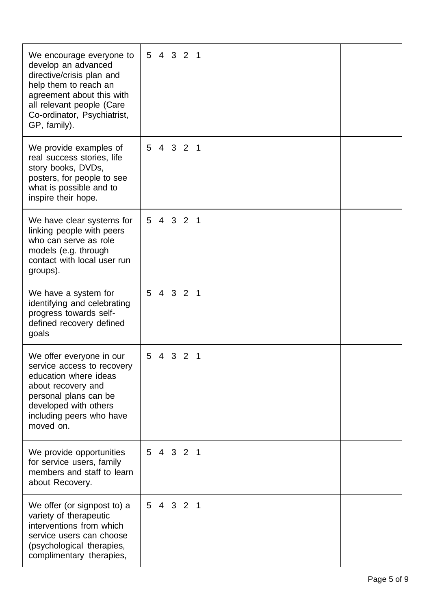| We encourage everyone to<br>develop an advanced<br>directive/crisis plan and<br>help them to reach an<br>agreement about this with<br>all relevant people (Care<br>Co-ordinator, Psychiatrist,<br>GP, family). | 4 3 2 1<br>5                        |  |
|----------------------------------------------------------------------------------------------------------------------------------------------------------------------------------------------------------------|-------------------------------------|--|
| We provide examples of<br>real success stories, life<br>story books, DVDs,<br>posters, for people to see<br>what is possible and to<br>inspire their hope.                                                     | 5<br>4 3 2 1                        |  |
| We have clear systems for<br>linking people with peers<br>who can serve as role<br>models (e.g. through<br>contact with local user run<br>groups).                                                             | 5 4 3 2 1                           |  |
| We have a system for<br>identifying and celebrating<br>progress towards self-<br>defined recovery defined<br>goals                                                                                             | 4 3 2 1<br>5                        |  |
| We offer everyone in our<br>service access to recovery<br>education where ideas<br>about recovery and<br>personal plans can be<br>developed with others<br>including peers who have<br>moved on.               | 5<br>3<br>$\overline{2}$<br>4<br>-1 |  |
| We provide opportunities<br>for service users, family<br>members and staff to learn<br>about Recovery.                                                                                                         | 5 4 3 2 1                           |  |
| We offer (or signpost to) a<br>variety of therapeutic<br>interventions from which<br>service users can choose<br>(psychological therapies,<br>complimentary therapies,                                         | 5 4 3 2 1                           |  |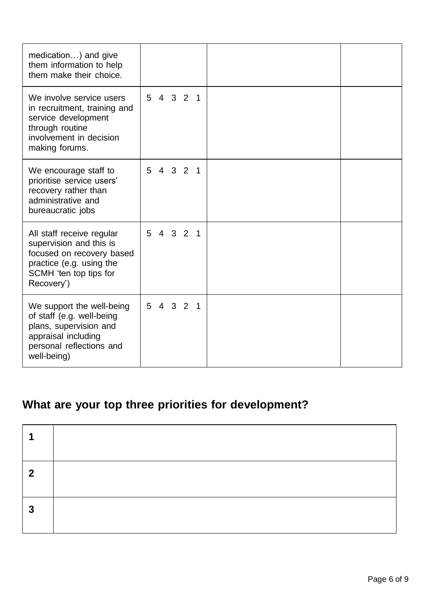| medication) and give<br>them information to help<br>them make their choice.                                                                           |              |  |
|-------------------------------------------------------------------------------------------------------------------------------------------------------|--------------|--|
| We involve service users<br>in recruitment, training and<br>service development<br>through routine<br>involvement in decision<br>making forums.       | 4 3 2 1<br>5 |  |
| We encourage staff to<br>prioritise service users'<br>recovery rather than<br>administrative and<br>bureaucratic jobs                                 | 5 4 3 2 1    |  |
| All staff receive regular<br>supervision and this is<br>focused on recovery based<br>practice (e.g. using the<br>SCMH 'ten top tips for<br>Recovery') | 5 4 3 2 1    |  |
| We support the well-being<br>of staff (e.g. well-being<br>plans, supervision and<br>appraisal including<br>personal reflections and<br>well-being)    | 4 3 2 1<br>5 |  |

### **What are your top three priorities for development?**

| $\boldsymbol{2}$ |  |
|------------------|--|
| 2                |  |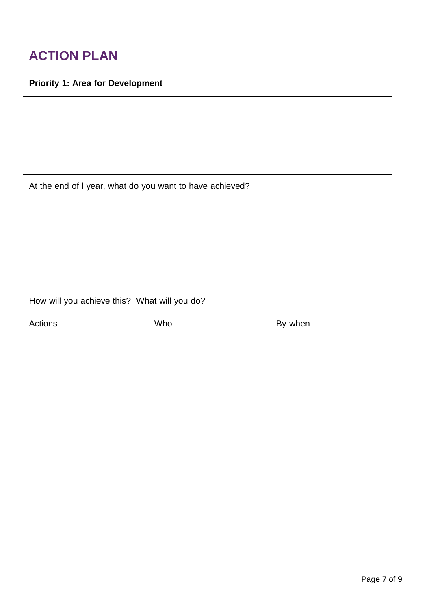### **ACTION PLAN**

| <b>Priority 1: Area for Development</b>                  |     |         |
|----------------------------------------------------------|-----|---------|
|                                                          |     |         |
|                                                          |     |         |
|                                                          |     |         |
|                                                          |     |         |
| At the end of I year, what do you want to have achieved? |     |         |
|                                                          |     |         |
|                                                          |     |         |
|                                                          |     |         |
|                                                          |     |         |
| How will you achieve this? What will you do?             |     |         |
| Actions                                                  | Who | By when |
|                                                          |     |         |
|                                                          |     |         |
|                                                          |     |         |
|                                                          |     |         |
|                                                          |     |         |
|                                                          |     |         |
|                                                          |     |         |
|                                                          |     |         |
|                                                          |     |         |
|                                                          |     |         |
|                                                          |     |         |
|                                                          |     |         |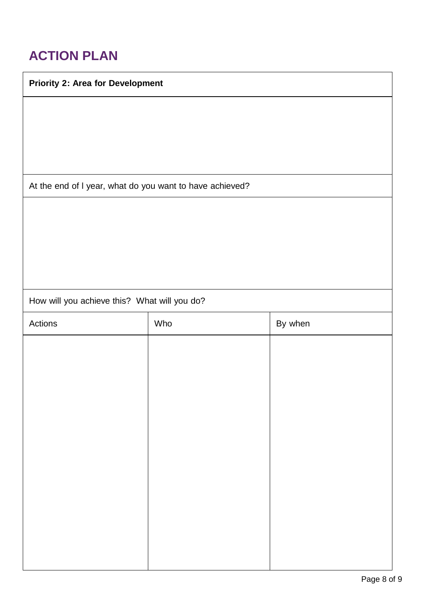### **ACTION PLAN**

| <b>Priority 2: Area for Development</b>                  |
|----------------------------------------------------------|
|                                                          |
|                                                          |
|                                                          |
|                                                          |
|                                                          |
| At the end of I year, what do you want to have achieved? |
|                                                          |
|                                                          |
|                                                          |
|                                                          |
|                                                          |
|                                                          |

How will you achieve this? What will you do?

| Actions | Who | By when |
|---------|-----|---------|
|         |     |         |
|         |     |         |
|         |     |         |
|         |     |         |
|         |     |         |
|         |     |         |
|         |     |         |
|         |     |         |
|         |     |         |
|         |     |         |
|         |     |         |